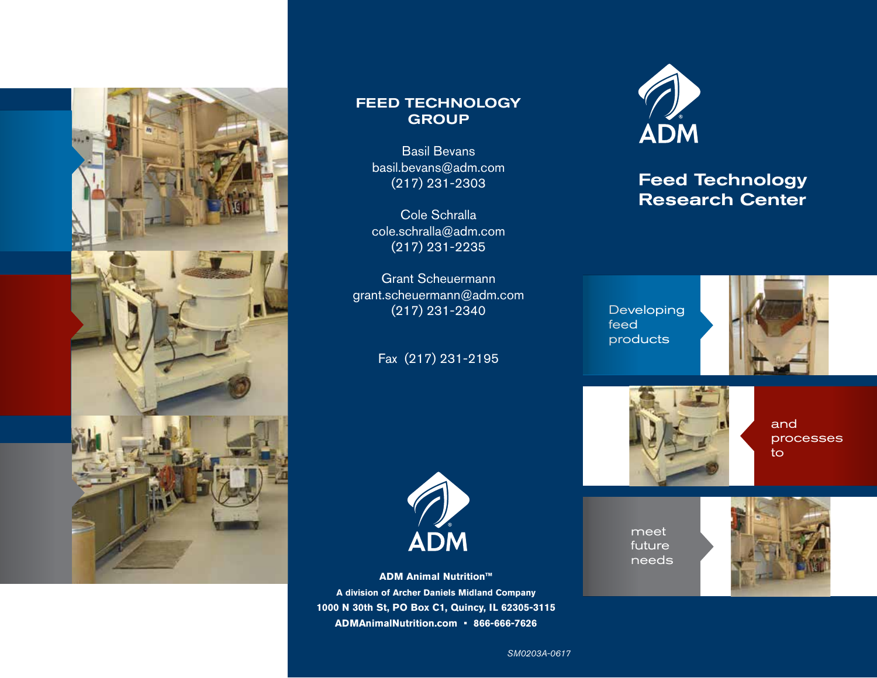

# FEED TECHNOLOGY **GROUP**

Basil Bevans basil.bevans@adm.com (217) 231-2303

Cole Schralla cole.schralla@adm.com (217) 231-2235

Grant Scheuermann grant.scheuermann@adm.com (217) 231-2340

# Fax (217) 231-2195

**ADM Animal Nutrition™ A division of Archer Daniels Midland Company 1000 N 30th St, PO Box C1, Quincy, IL 62305-3115 ADMAnimalNutrition.com • 866-666-7626**

ADM



# Feed Technology Research Center

Developing feed products





and processes to

meet future needs



*SM0203A-0617*